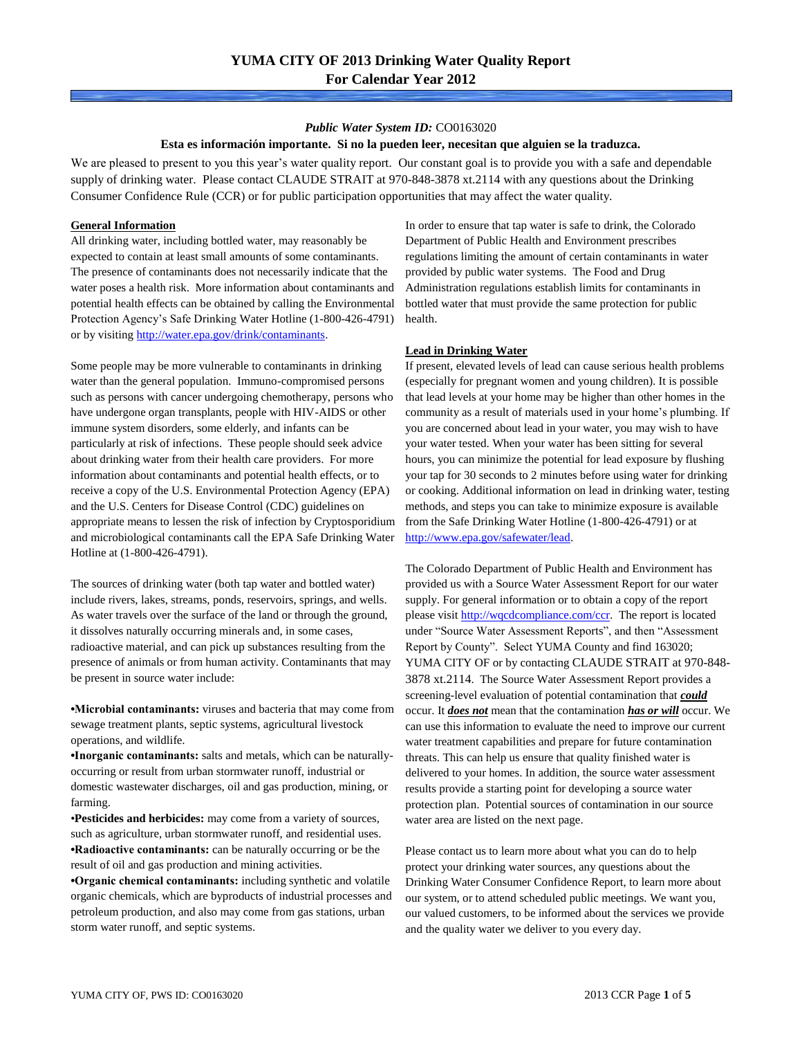#### *Public Water System ID:* CO0163020

#### **Esta es información importante. Si no la pueden leer, necesitan que alguien se la traduzca.**

We are pleased to present to you this year's water quality report. Our constant goal is to provide you with a safe and dependable supply of drinking water. Please contact CLAUDE STRAIT at 970-848-3878 xt.2114 with any questions about the Drinking Consumer Confidence Rule (CCR) or for public participation opportunities that may affect the water quality.

#### **General Information**

All drinking water, including bottled water, may reasonably be expected to contain at least small amounts of some contaminants. The presence of contaminants does not necessarily indicate that the water poses a health risk. More information about contaminants and potential health effects can be obtained by calling the Environmental Protection Agency's Safe Drinking Water Hotline (1-800-426-4791) or by visiting [http://water.epa.gov/drink/contaminants.](http://water.epa.gov/drink/contaminants)

Some people may be more vulnerable to contaminants in drinking water than the general population. Immuno-compromised persons such as persons with cancer undergoing chemotherapy, persons who have undergone organ transplants, people with HIV-AIDS or other immune system disorders, some elderly, and infants can be particularly at risk of infections. These people should seek advice about drinking water from their health care providers. For more information about contaminants and potential health effects, or to receive a copy of the U.S. Environmental Protection Agency (EPA) and the U.S. Centers for Disease Control (CDC) guidelines on appropriate means to lessen the risk of infection by Cryptosporidium and microbiological contaminants call the EPA Safe Drinking Water Hotline at (1-800-426-4791).

The sources of drinking water (both tap water and bottled water) include rivers, lakes, streams, ponds, reservoirs, springs, and wells. As water travels over the surface of the land or through the ground, it dissolves naturally occurring minerals and, in some cases, radioactive material, and can pick up substances resulting from the presence of animals or from human activity. Contaminants that may be present in source water include:

**•Microbial contaminants:** viruses and bacteria that may come from sewage treatment plants, septic systems, agricultural livestock operations, and wildlife.

**•Inorganic contaminants:** salts and metals, which can be naturallyoccurring or result from urban stormwater runoff, industrial or domestic wastewater discharges, oil and gas production, mining, or farming.

•**Pesticides and herbicides:** may come from a variety of sources, such as agriculture, urban stormwater runoff, and residential uses. **•Radioactive contaminants:** can be naturally occurring or be the result of oil and gas production and mining activities.

**•Organic chemical contaminants:** including synthetic and volatile organic chemicals, which are byproducts of industrial processes and petroleum production, and also may come from gas stations, urban storm water runoff, and septic systems.

In order to ensure that tap water is safe to drink, the Colorado Department of Public Health and Environment prescribes regulations limiting the amount of certain contaminants in water provided by public water systems. The Food and Drug Administration regulations establish limits for contaminants in bottled water that must provide the same protection for public health.

### **Lead in Drinking Water**

If present, elevated levels of lead can cause serious health problems (especially for pregnant women and young children). It is possible that lead levels at your home may be higher than other homes in the community as a result of materials used in your home's plumbing. If you are concerned about lead in your water, you may wish to have your water tested. When your water has been sitting for several hours, you can minimize the potential for lead exposure by flushing your tap for 30 seconds to 2 minutes before using water for drinking or cooking. Additional information on lead in drinking water, testing methods, and steps you can take to minimize exposure is available from the Safe Drinking Water Hotline (1-800-426-4791) or at [http://www.epa.gov/safewater/lead.](http://www.epa.gov/safewater/lead) 

The Colorado Department of Public Health and Environment has provided us with a Source Water Assessment Report for our water supply. For general information or to obtain a copy of the report please visit [http://wqcdcompliance.com/ccr.](http://wqcdcompliance.com/ccr) The report is located under "Source Water Assessment Reports", and then "Assessment Report by County". Select YUMA County and find 163020; YUMA CITY OF or by contacting CLAUDE STRAIT at 970-848- 3878 xt.2114. The Source Water Assessment Report provides a screening-level evaluation of potential contamination that *could* occur. It *does not* mean that the contamination *has or will* occur. We can use this information to evaluate the need to improve our current water treatment capabilities and prepare for future contamination threats. This can help us ensure that quality finished water is delivered to your homes. In addition, the source water assessment results provide a starting point for developing a source water protection plan. Potential sources of contamination in our source water area are listed on the next page.

Please contact us to learn more about what you can do to help protect your drinking water sources, any questions about the Drinking Water Consumer Confidence Report, to learn more about our system, or to attend scheduled public meetings. We want you, our valued customers, to be informed about the services we provide and the quality water we deliver to you every day.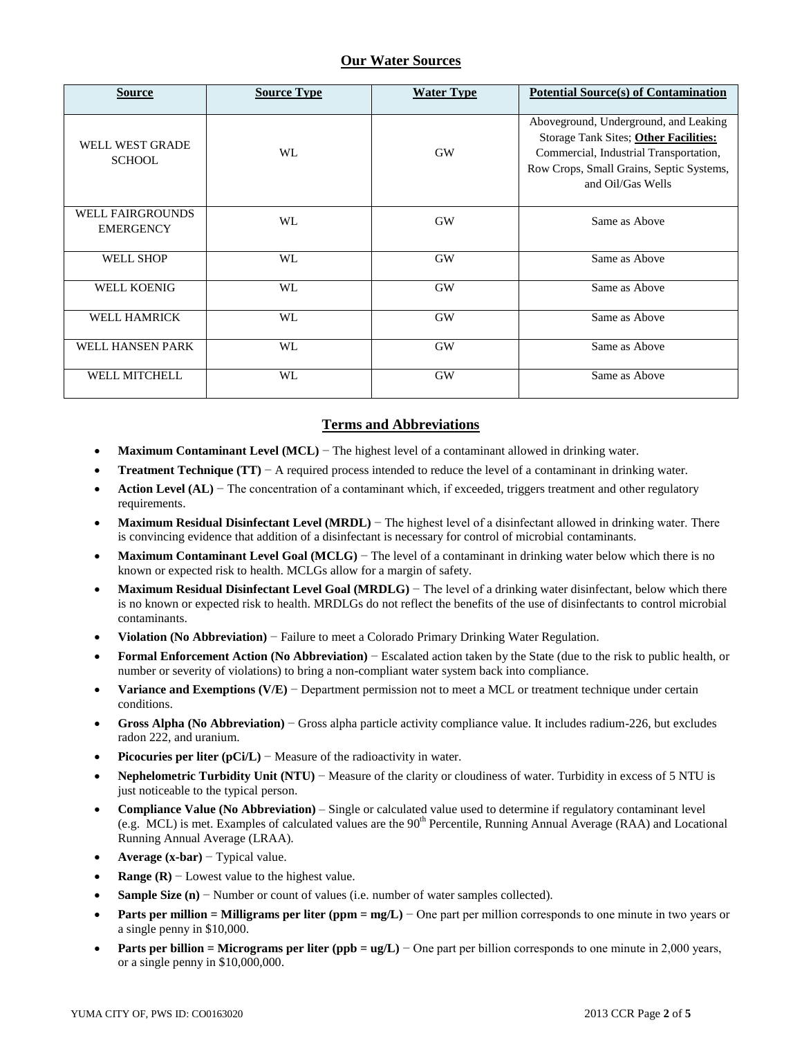## **Our Water Sources**

| <b>Source</b>                               | <b>Source Type</b> | <b>Water Type</b> | <b>Potential Source(s) of Contamination</b>                                                                                                                                               |
|---------------------------------------------|--------------------|-------------------|-------------------------------------------------------------------------------------------------------------------------------------------------------------------------------------------|
| WELL WEST GRADE<br><b>SCHOOL</b>            | WL                 | <b>GW</b>         | Aboveground, Underground, and Leaking<br>Storage Tank Sites; Other Facilities:<br>Commercial, Industrial Transportation,<br>Row Crops, Small Grains, Septic Systems,<br>and Oil/Gas Wells |
| <b>WELL FAIRGROUNDS</b><br><b>EMERGENCY</b> | WL                 | <b>GW</b>         | Same as Above                                                                                                                                                                             |
| <b>WELL SHOP</b>                            | WL                 | <b>GW</b>         | Same as Above                                                                                                                                                                             |
| <b>WELL KOENIG</b>                          | WL                 | <b>GW</b>         | Same as Above                                                                                                                                                                             |
| <b>WELL HAMRICK</b>                         | WL                 | <b>GW</b>         | Same as Above                                                                                                                                                                             |
| WELL HANSEN PARK                            | WL                 | <b>GW</b>         | Same as Above                                                                                                                                                                             |
| <b>WELL MITCHELL</b>                        | WL                 | <b>GW</b>         | Same as Above                                                                                                                                                                             |

## **Terms and Abbreviations**

- **Maximum Contaminant Level (MCL)** − The highest level of a contaminant allowed in drinking water.
- **Treatment Technique (TT)**  $A$  required process intended to reduce the level of a contaminant in drinking water.
- **Action Level (AL)** − The concentration of a contaminant which, if exceeded, triggers treatment and other regulatory requirements.
- **Maximum Residual Disinfectant Level (MRDL)** − The highest level of a disinfectant allowed in drinking water. There is convincing evidence that addition of a disinfectant is necessary for control of microbial contaminants.
- **Maximum Contaminant Level Goal (MCLG)** − The level of a contaminant in drinking water below which there is no known or expected risk to health. MCLGs allow for a margin of safety.
- **Maximum Residual Disinfectant Level Goal (MRDLG)** − The level of a drinking water disinfectant, below which there is no known or expected risk to health. MRDLGs do not reflect the benefits of the use of disinfectants to control microbial contaminants.
- **Violation (No Abbreviation)** − Failure to meet a Colorado Primary Drinking Water Regulation.
- **Formal Enforcement Action (No Abbreviation)** − Escalated action taken by the State (due to the risk to public health, or number or severity of violations) to bring a non-compliant water system back into compliance.
- **Variance and Exemptions (V/E)** − Department permission not to meet a MCL or treatment technique under certain conditions.
- **Gross Alpha (No Abbreviation)** − Gross alpha particle activity compliance value. It includes radium-226, but excludes radon 222, and uranium.
- **Picocuries per liter (pCi/L)** − Measure of the radioactivity in water.
- **Nephelometric Turbidity Unit (NTU)** − Measure of the clarity or cloudiness of water. Turbidity in excess of 5 NTU is just noticeable to the typical person.
- **Compliance Value (No Abbreviation)** Single or calculated value used to determine if regulatory contaminant level (e.g. MCL) is met. Examples of calculated values are the  $90<sup>th</sup>$  Percentile, Running Annual Average (RAA) and Locational Running Annual Average (LRAA).
- **Average (x-bar)** − Typical value.
- **Range (R)**  $-$  Lowest value to the highest value.
- **Sample Size (n)** − Number or count of values (i.e. number of water samples collected).
- **Parts per million = Milligrams per liter (ppm = mg/L)** − One part per million corresponds to one minute in two years or a single penny in \$10,000.
- **Parts per billion = Micrograms per liter (ppb = ug/L)** − One part per billion corresponds to one minute in 2,000 years, or a single penny in \$10,000,000.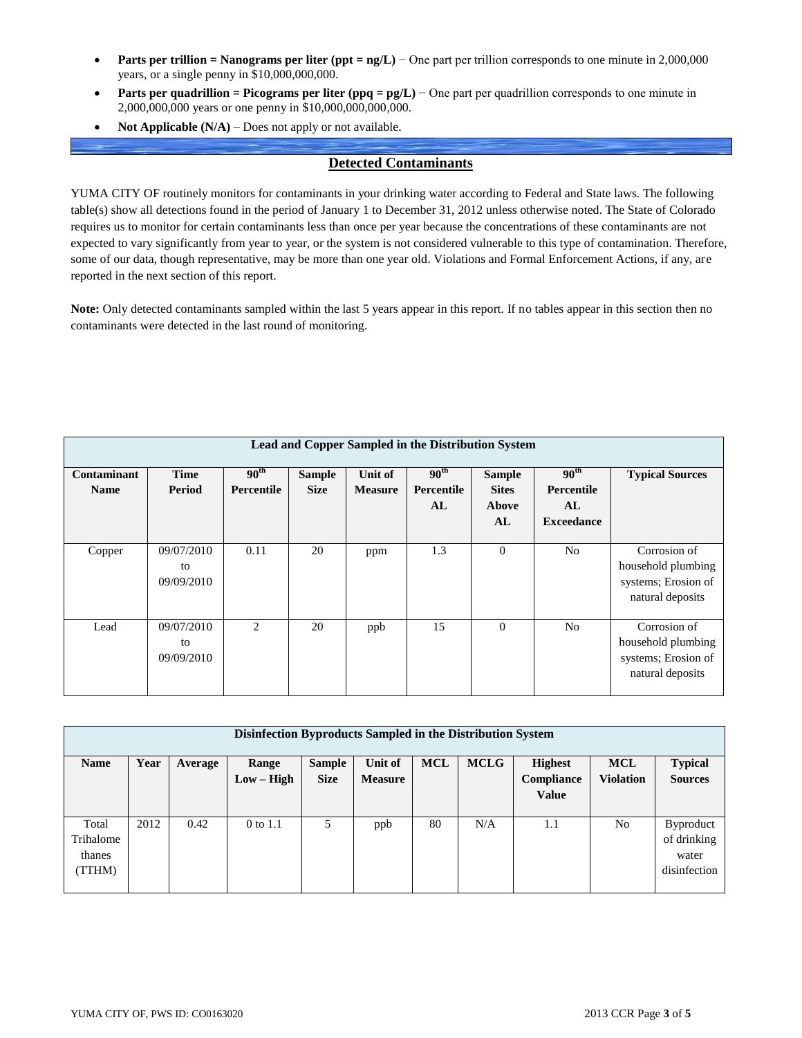- **Parts per trillion = Nanograms per liter (ppt = ng/L)** − One part per trillion corresponds to one minute in 2,000,000 years, or a single penny in \$10,000,000,000.
- **Parts per quadrillion = Picograms per liter (ppq = pg/L)** − One part per quadrillion corresponds to one minute in 2,000,000,000 years or one penny in \$10,000,000,000,000.
- **Not Applicable (N/A)** Does not apply or not available.

## **Detected Contaminants**

YUMA CITY OF routinely monitors for contaminants in your drinking water according to Federal and State laws. The following table(s) show all detections found in the period of January 1 to December 31, 2012 unless otherwise noted. The State of Colorado requires us to monitor for certain contaminants less than once per year because the concentrations of these contaminants are not expected to vary significantly from year to year, or the system is not considered vulnerable to this type of contamination. Therefore, some of our data, though representative, may be more than one year old. Violations and Formal Enforcement Actions, if any, are reported in the next section of this report.

**Note:** Only detected contaminants sampled within the last 5 years appear in this report. If no tables appear in this section then no contaminants were detected in the last round of monitoring.

| Lead and Copper Sampled in the Distribution System |                                |                                    |                              |                                  |                                      |                                              |                                                           |                                                                               |  |  |
|----------------------------------------------------|--------------------------------|------------------------------------|------------------------------|----------------------------------|--------------------------------------|----------------------------------------------|-----------------------------------------------------------|-------------------------------------------------------------------------------|--|--|
| Contaminant<br><b>Name</b>                         | <b>Time</b><br><b>Period</b>   | $90^{\rm th}$<br><b>Percentile</b> | <b>Sample</b><br><b>Size</b> | <b>Unit of</b><br><b>Measure</b> | 90 <sup>th</sup><br>Percentile<br>AL | <b>Sample</b><br><b>Sites</b><br>Above<br>AL | 90 <sup>th</sup><br>Percentile<br>AL<br><b>Exceedance</b> | <b>Typical Sources</b>                                                        |  |  |
| Copper                                             | 09/07/2010<br>to<br>09/09/2010 | 0.11                               | 20                           | ppm                              | 1.3                                  | $\overline{0}$                               | N <sub>0</sub>                                            | Corrosion of<br>household plumbing<br>systems; Erosion of<br>natural deposits |  |  |
| Lead                                               | 09/07/2010<br>to<br>09/09/2010 | 2                                  | 20                           | ppb                              | 15                                   | $\overline{0}$                               | N <sub>0</sub>                                            | Corrosion of<br>household plumbing<br>systems; Erosion of<br>natural deposits |  |  |

| Disinfection Byproducts Sampled in the Distribution System |      |         |              |               |                |            |             |                |                  |                  |  |
|------------------------------------------------------------|------|---------|--------------|---------------|----------------|------------|-------------|----------------|------------------|------------------|--|
| <b>Name</b>                                                | Year | Average | Range        | <b>Sample</b> | Unit of        | <b>MCL</b> | <b>MCLG</b> | <b>Highest</b> | <b>MCL</b>       | <b>Typical</b>   |  |
|                                                            |      |         | $Low - High$ | <b>Size</b>   | <b>Measure</b> |            |             | Compliance     | <b>Violation</b> | <b>Sources</b>   |  |
|                                                            |      |         |              |               |                |            |             | <b>Value</b>   |                  |                  |  |
|                                                            |      |         |              |               |                |            |             |                |                  |                  |  |
| Total                                                      | 2012 | 0.42    | 0 to 1.1     | 5             | ppb            | 80         | N/A         | 1.1            | N <sub>0</sub>   | <b>Byproduct</b> |  |
| Trihalome                                                  |      |         |              |               |                |            |             |                |                  | of drinking      |  |
| thanes                                                     |      |         |              |               |                |            |             |                |                  | water            |  |
| (TTHM)                                                     |      |         |              |               |                |            |             |                |                  | disinfection     |  |
|                                                            |      |         |              |               |                |            |             |                |                  |                  |  |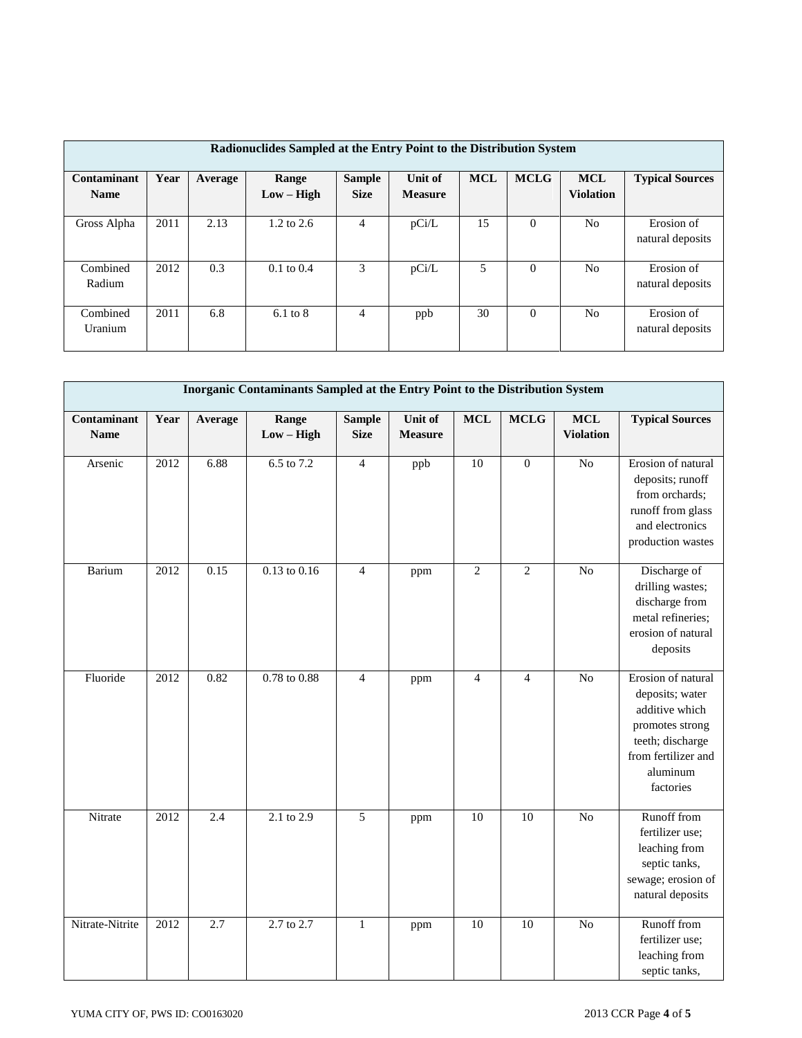| Radionuclides Sampled at the Entry Point to the Distribution System |      |         |                       |                              |                           |            |             |                                |                                |  |
|---------------------------------------------------------------------|------|---------|-----------------------|------------------------------|---------------------------|------------|-------------|--------------------------------|--------------------------------|--|
| Contaminant<br><b>Name</b>                                          | Year | Average | Range<br>$Low - High$ | <b>Sample</b><br><b>Size</b> | Unit of<br><b>Measure</b> | <b>MCL</b> | <b>MCLG</b> | <b>MCL</b><br><b>Violation</b> | <b>Typical Sources</b>         |  |
| Gross Alpha                                                         | 2011 | 2.13    | $1.2 \text{ to } 2.6$ | 4                            | pCi/L                     | 15         | $\Omega$    | No                             | Erosion of<br>natural deposits |  |
| Combined<br>Radium                                                  | 2012 | 0.3     | $0.1 \text{ to } 0.4$ | 3                            | pCi/L                     | 5          | $\Omega$    | N <sub>0</sub>                 | Erosion of<br>natural deposits |  |
| Combined<br>Uranium                                                 | 2011 | 6.8     | $6.1 \text{ to } 8$   | $\overline{4}$               | ppb                       | 30         | $\theta$    | No                             | Erosion of<br>natural deposits |  |

| Inorganic Contaminants Sampled at the Entry Point to the Distribution System |      |         |                         |                              |                           |                 |                |                                |                                                                                                                                                |  |
|------------------------------------------------------------------------------|------|---------|-------------------------|------------------------------|---------------------------|-----------------|----------------|--------------------------------|------------------------------------------------------------------------------------------------------------------------------------------------|--|
| Contaminant<br><b>Name</b>                                                   | Year | Average | Range<br>$Low - High$   | <b>Sample</b><br><b>Size</b> | Unit of<br><b>Measure</b> | <b>MCL</b>      | <b>MCLG</b>    | <b>MCL</b><br><b>Violation</b> | <b>Typical Sources</b>                                                                                                                         |  |
| Arsenic                                                                      | 2012 | 6.88    | 6.5 to 7.2              | $\overline{4}$               | ppb                       | 10              | $\mathbf{0}$   | N <sub>o</sub>                 | Erosion of natural<br>deposits; runoff<br>from orchards;<br>runoff from glass<br>and electronics<br>production wastes                          |  |
| Barium                                                                       | 2012 | 0.15    | $0.13$ to $0.16$        | $\overline{4}$               | ppm                       | $\overline{2}$  | $\overline{2}$ | $\overline{No}$                | Discharge of<br>drilling wastes;<br>discharge from<br>metal refineries;<br>erosion of natural<br>deposits                                      |  |
| Fluoride                                                                     | 2012 | 0.82    | $0.78 \text{ to } 0.88$ | $\overline{4}$               | ppm                       | $\overline{4}$  | $\overline{4}$ | $\overline{No}$                | Erosion of natural<br>deposits; water<br>additive which<br>promotes strong<br>teeth; discharge<br>from fertilizer and<br>aluminum<br>factories |  |
| Nitrate                                                                      | 2012 | 2.4     | $2.1 \text{ to } 2.9$   | 5                            | ppm                       | 10              | 10             | $\overline{No}$                | Runoff from<br>fertilizer use;<br>leaching from<br>septic tanks,<br>sewage; erosion of<br>natural deposits                                     |  |
| Nitrate-Nitrite                                                              | 2012 | 2.7     | 2.7 to 2.7              | $\mathbf 1$                  | ppm                       | $\overline{10}$ | 10             | $\overline{No}$                | Runoff from<br>fertilizer use;<br>leaching from<br>septic tanks,                                                                               |  |